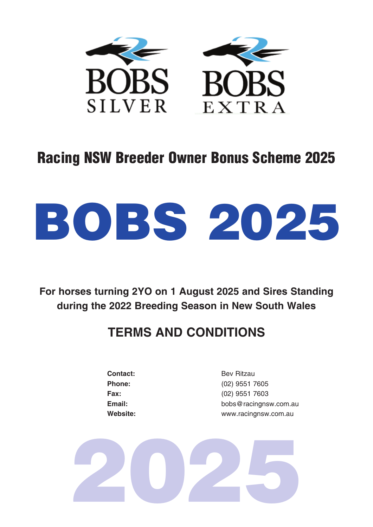

## Racing NSW Breeder Owner Bonus Scheme 2025

# BOBS 2025

**For horses turning 2YO on 1 August 2025 and Sires Standing during the 2022 Breeding Season in New South Wales**

### **TERMS AND CONDITIONS**

**Contact:** Bev Ritzau

**Phone:** (02) 9551 7605 **Fax:** (02) 9551 7603 **Email:** bobs@racingnsw.com.au **Website:** www.racingnsw.com.au

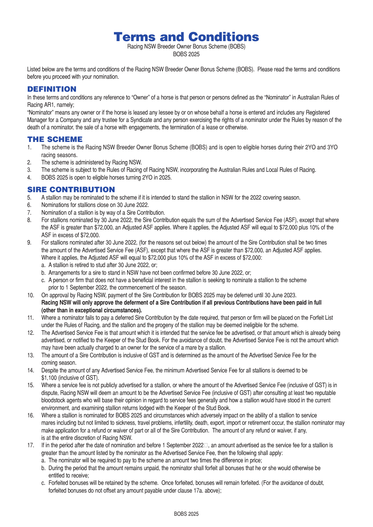Terms and Conditions

Racing NSW Breeder Owner Bonus Scheme (BOBS) BOBS 2025

Listed below are the terms and conditions of the Racing NSW Breeder Owner Bonus Scheme (BOBS). Please read the terms and conditions before you proceed with your nomination.

#### **DEFINITION**

In these terms and conditions any reference to "Owner" of a horse is that person or persons defined as the "Nominator" in Australian Rules of Racing AR1, namely;

"Nominator" means any owner or if the horse is leased any lessee by or on whose behalf a horse is entered and includes any Registered Manager for a Company and any trustee for a Syndicate and any person exercising the rights of a nominator under the Rules by reason of the death of a nominator, the sale of a horse with engagements, the termination of a lease or otherwise.

#### THE SCHEME

- 1. The scheme is the Racing NSW Breeder Owner Bonus Scheme (BOBS) and is open to eligible horses during their 2YO and 3YO racing seasons.
- 2. The scheme is administered by Racing NSW.
- 3. The scheme is subject to the Rules of Racing of Racing NSW, incorporating the Australian Rules and Local Rules of Racing.
- 4. BOBS 2025 is open to eligible horses turning 2YO in 2025.

#### SIRE CONTRIBUTION

- 5. A stallion may be nominated to the scheme if it is intended to stand the stallion in NSW for the 2022 covering season.
- 6. Nominations for stallions close on 30 June 2022.
- 7. Nomination of a stallion is by way of a Sire Contribution.
- 8. For stallions nominated by 30 June 2022, the Sire Contribution equals the sum of the Advertised Service Fee (ASF), except that where the ASF is greater than \$72,000, an Adjusted ASF applies. Where it applies, the Adjusted ASF will equal to \$72,000 plus 10% of the ASF in excess of \$72,000.
- 9. For stallions nominated after 30 June 2022, (for the reasons set out below) the amount of the Sire Contribution shall be two times the amount of the Advertised Service Fee (ASF), except that where the ASF is greater than \$72,000, an Adjusted ASF applies. Where it applies, the Adjusted ASF will equal to \$72,000 plus 10% of the ASF in excess of \$72,000:
	- a. A stallion is retired to stud after 30 June 2022, or;
	- b. Arrangements for a sire to stand in NSW have not been confirmed before 30 June 2022, or;
	- c. A person or firm that does not have a beneficial interest in the stallion is seeking to nominate a stallion to the scheme prior to 1 September 2022, the commencement of the season.
- 10. On approval by Racing NSW, payment of the Sire Contribution for BOBS 2025 may be deferred until 30 June 2023. **Racing NSW will only approve the deferment of a Sire Contribution if all previous Contributions have been paid in full (other than in exceptional circumstances).**
- 11. Where a nominator fails to pay a deferred Sire Contribution by the date required, that person or firm will be placed on the Forfeit List under the Rules of Racing, and the stallion and the progeny of the stallion may be deemed ineligible for the scheme.
- 12. The Advertised Service Fee is that amount which it is intended that the service fee be advertised, or that amount which is already being advertised, or notified to the Keeper of the Stud Book. For the avoidance of doubt, the Advertised Service Fee is not the amount which may have been actually charged to an owner for the service of a mare by a stallion.
- 13. The amount of a Sire Contribution is inclusive of GST and is determined as the amount of the Advertised Service Fee for the coming season.
- 14. Despite the amount of any Advertised Service Fee, the minimum Advertised Service Fee for all stallions is deemed to be \$1,100 (inclusive of GST).
- 15. Where a service fee is not publicly advertised for a stallion, or where the amount of the Advertised Service Fee (inclusive of GST) is in dispute, Racing NSW will deem an amount to be the Advertised Service Fee (inclusive of GST) after consulting at least two reputable bloodstock agents who will base their opinion in regard to service fees generally and how a stallion would have stood in the current environment, and examining stallion returns lodged with the Keeper of the Stud Book.
- 16. Where a stallion is nominated for BOBS 2025 and circumstances which adversely impact on the ability of a stallion to service mares including but not limited to sickness, travel problems, infertility, death, export, import or retirement occur, the stallion nominator may make application for a refund or waiver of part or all of the Sire Contribution. The amount of any refund or waiver, if any, is at the entire discretion of Racing NSW.
- 17. If in the period after the date of nomination and before 1 September 2022 , an amount advertised as the service fee for a stallion is greater than the amount listed by the nominator as the Advertised Service Fee, then the following shall apply:
	- a. The nominator will be required to pay to the scheme an amount two times the difference in price;
	- b. During the period that the amount remains unpaid, the nominator shall forfeit all bonuses that he or she would otherwise be entitled to receive;
	- c. Forfeited bonuses will be retained by the scheme. Once forfeited, bonuses will remain forfeited. (For the avoidance of doubt, forfeited bonuses do not offset any amount payable under clause 17a. above);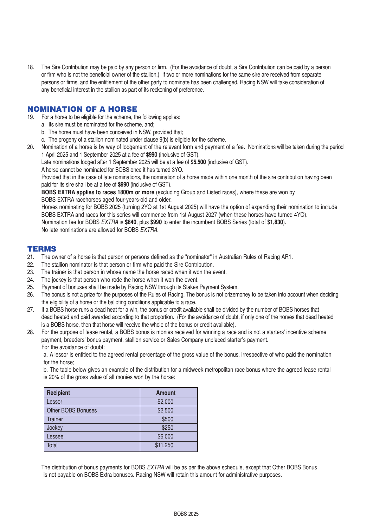18. The Sire Contribution may be paid by any person or firm. (For the avoidance of doubt, a Sire Contribution can be paid by a person or firm who is not the beneficial owner of the stallion.) If two or more nominations for the same sire are received from separate persons or firms, and the entitlement of the other party to nominate has been challenged, Racing NSW will take consideration of any beneficial interest in the stallion as part of its reckoning of preference.

#### NOMINATION OF A HORSE

- 19. For a horse to be eligible for the scheme, the following applies:
	- a. Its sire must be nominated for the scheme, and;
		- b. The horse must have been conceived in NSW, provided that;
	- c. The progeny of a stallion nominated under clause 9(b) is eligible for the scheme.
- 20. Nomination of a horse is by way of lodgement of the relevant form and payment of a fee. Nominations will be taken during the period 1 April 2025 and 1 September 2025 at a fee of **\$990** (inclusive of GST).

Late nominations lodged after 1 September 2025 will be at a fee of **\$5,500** (inclusive of GST).

A horse cannot be nominated for BOBS once it has turned 3YO.

Provided that in the case of late nominations, the nomination of a horse made within one month of the sire contribution having been paid for its sire shall be at a fee of **\$990** (inclusive of GST).

**BOBS EXTRA applies to races 1800m or more** (excluding Group and Listed races), where these are won by BOBS EXTRA racehorses aged four-years-old and older.

Horses nominating for BOBS 2025 (turning 2YO at 1st August 2025) will have the option of expanding their nomination to include BOBS EXTRA and races for this series will commence from 1st August 2027 (when these horses have turned 4YO).

Nomination fee for BOBS *EXTRA* is **\$840**, plus **\$990** to enter the incumbent BOBS Series (total of **\$1,830**). No late nominations are allowed for BOBS *EXTRA*.

#### **TERMS**

- 21. The owner of a horse is that person or persons defined as the "nominator" in Australian Rules of Racing AR1.
- 22. The stallion nominator is that person or firm who paid the Sire Contribution.
- 23. The trainer is that person in whose name the horse raced when it won the event.
- 24. The jockey is that person who rode the horse when it won the event.
- 25. Payment of bonuses shall be made by Racing NSW through its Stakes Payment System.
- 26. The bonus is not a prize for the purposes of the Rules of Racing. The bonus is not prizemoney to be taken into account when deciding the eligibility of a horse or the balloting conditions applicable to a race.
- 27. If a BOBS horse runs a dead heat for a win, the bonus or credit available shall be divided by the number of BOBS horses that dead heated and paid awarded according to that proportion. (For the avoidance of doubt, if only one of the horses that dead heated is a BOBS horse, then that horse will receive the whole of the bonus or credit available).
- 28. For the purpose of lease rental, a BOBS bonus is monies received for winning a race and is not a starters' incentive scheme payment, breeders' bonus payment, stallion service or Sales Company unplaced starter's payment. For the avoidance of doubt:

a. A lessor is entitled to the agreed rental percentage of the gross value of the bonus, irrespective of who paid the nomination for the horse;

b. The table below gives an example of the distribution for a midweek metropolitan race bonus where the agreed lease rental is 20% of the gross value of all monies won by the horse:

| <b>Recipient</b>   | <b>Amount</b> |
|--------------------|---------------|
| Lessor             | \$2,000       |
| Other BOBS Bonuses | \$2,500       |
| <b>Trainer</b>     | \$500         |
| Jockey             | \$250         |
| Lessee             | \$6,000       |
| Total              | \$11,250      |

The distribution of bonus payments for BOBS *EXTRA* will be as per the above schedule, except that Other BOBS Bonus is not payable on BOBS Extra bonuses. Racing NSW will retain this amount for administrative purposes.